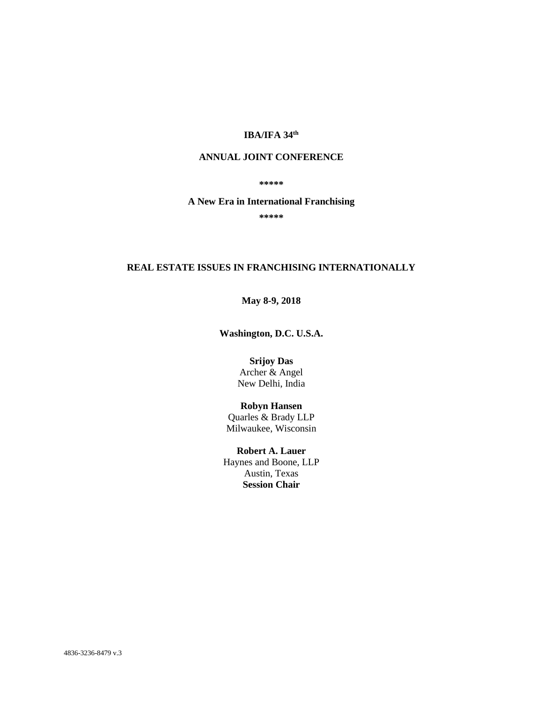## **IBA/IFA 34th**

# **ANNUAL JOINT CONFERENCE**

#### **\*\*\*\*\***

#### **A New Era in International Franchising**

**\*\*\*\*\***

### **REAL ESTATE ISSUES IN FRANCHISING INTERNATIONALLY**

## **May 8-9, 2018**

**Washington, D.C. U.S.A.**

**Srijoy Das** Archer & Angel New Delhi, India

#### **Robyn Hansen**

Quarles & Brady LLP Milwaukee, Wisconsin

**Robert A. Lauer** Haynes and Boone, LLP Austin, Texas **Session Chair**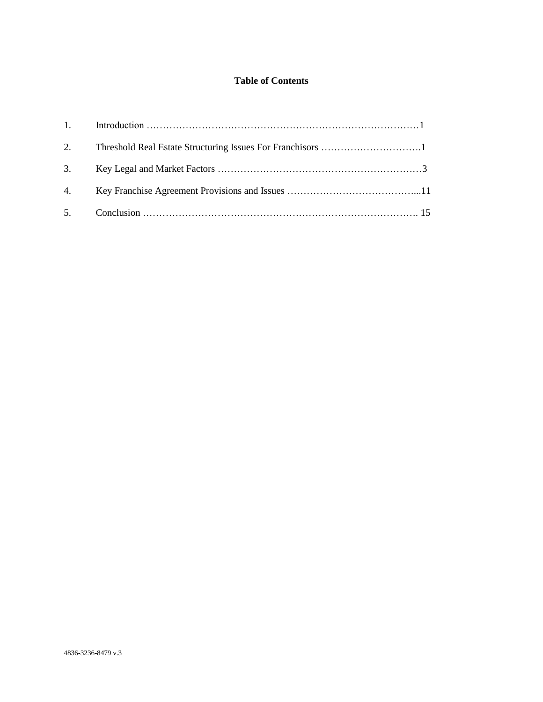# **Table of Contents**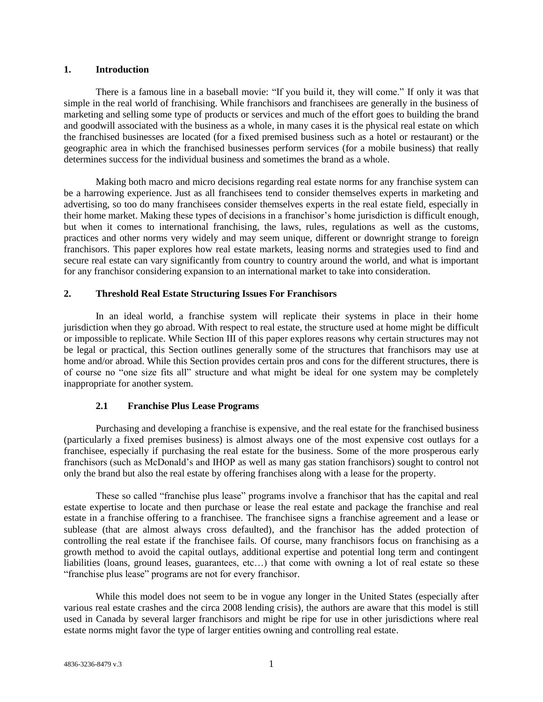### **1. Introduction**

There is a famous line in a baseball movie: "If you build it, they will come." If only it was that simple in the real world of franchising. While franchisors and franchisees are generally in the business of marketing and selling some type of products or services and much of the effort goes to building the brand and goodwill associated with the business as a whole, in many cases it is the physical real estate on which the franchised businesses are located (for a fixed premised business such as a hotel or restaurant) or the geographic area in which the franchised businesses perform services (for a mobile business) that really determines success for the individual business and sometimes the brand as a whole.

Making both macro and micro decisions regarding real estate norms for any franchise system can be a harrowing experience. Just as all franchisees tend to consider themselves experts in marketing and advertising, so too do many franchisees consider themselves experts in the real estate field, especially in their home market. Making these types of decisions in a franchisor's home jurisdiction is difficult enough, but when it comes to international franchising, the laws, rules, regulations as well as the customs, practices and other norms very widely and may seem unique, different or downright strange to foreign franchisors. This paper explores how real estate markets, leasing norms and strategies used to find and secure real estate can vary significantly from country to country around the world, and what is important for any franchisor considering expansion to an international market to take into consideration.

## **2. Threshold Real Estate Structuring Issues For Franchisors**

In an ideal world, a franchise system will replicate their systems in place in their home jurisdiction when they go abroad. With respect to real estate, the structure used at home might be difficult or impossible to replicate. While Section III of this paper explores reasons why certain structures may not be legal or practical, this Section outlines generally some of the structures that franchisors may use at home and/or abroad. While this Section provides certain pros and cons for the different structures, there is of course no "one size fits all" structure and what might be ideal for one system may be completely inappropriate for another system.

### **2.1 Franchise Plus Lease Programs**

Purchasing and developing a franchise is expensive, and the real estate for the franchised business (particularly a fixed premises business) is almost always one of the most expensive cost outlays for a franchisee, especially if purchasing the real estate for the business. Some of the more prosperous early franchisors (such as McDonald's and IHOP as well as many gas station franchisors) sought to control not only the brand but also the real estate by offering franchises along with a lease for the property.

These so called "franchise plus lease" programs involve a franchisor that has the capital and real estate expertise to locate and then purchase or lease the real estate and package the franchise and real estate in a franchise offering to a franchisee. The franchisee signs a franchise agreement and a lease or sublease (that are almost always cross defaulted), and the franchisor has the added protection of controlling the real estate if the franchisee fails. Of course, many franchisors focus on franchising as a growth method to avoid the capital outlays, additional expertise and potential long term and contingent liabilities (loans, ground leases, guarantees, etc...) that come with owning a lot of real estate so these "franchise plus lease" programs are not for every franchisor.

While this model does not seem to be in vogue any longer in the United States (especially after various real estate crashes and the circa 2008 lending crisis), the authors are aware that this model is still used in Canada by several larger franchisors and might be ripe for use in other jurisdictions where real estate norms might favor the type of larger entities owning and controlling real estate.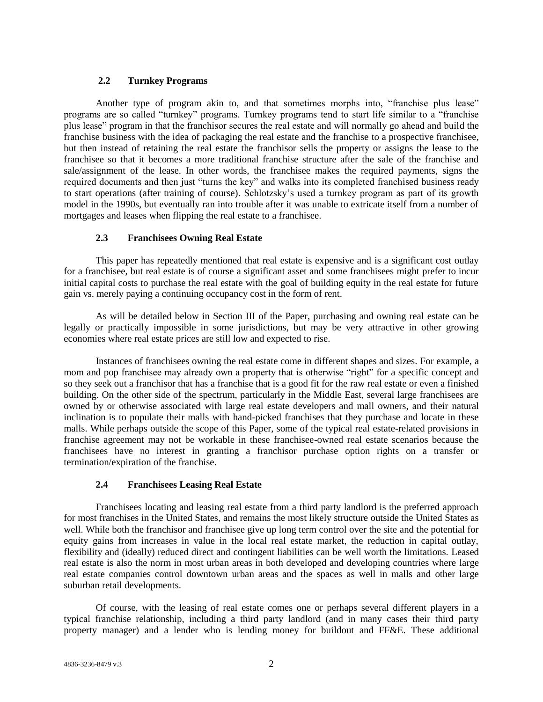# **2.2 Turnkey Programs**

Another type of program akin to, and that sometimes morphs into, "franchise plus lease" programs are so called "turnkey" programs. Turnkey programs tend to start life similar to a "franchise plus lease" program in that the franchisor secures the real estate and will normally go ahead and build the franchise business with the idea of packaging the real estate and the franchise to a prospective franchisee, but then instead of retaining the real estate the franchisor sells the property or assigns the lease to the franchisee so that it becomes a more traditional franchise structure after the sale of the franchise and sale/assignment of the lease. In other words, the franchisee makes the required payments, signs the required documents and then just "turns the key" and walks into its completed franchised business ready to start operations (after training of course). Schlotzsky's used a turnkey program as part of its growth model in the 1990s, but eventually ran into trouble after it was unable to extricate itself from a number of mortgages and leases when flipping the real estate to a franchisee.

# **2.3 Franchisees Owning Real Estate**

This paper has repeatedly mentioned that real estate is expensive and is a significant cost outlay for a franchisee, but real estate is of course a significant asset and some franchisees might prefer to incur initial capital costs to purchase the real estate with the goal of building equity in the real estate for future gain vs. merely paying a continuing occupancy cost in the form of rent.

As will be detailed below in Section III of the Paper, purchasing and owning real estate can be legally or practically impossible in some jurisdictions, but may be very attractive in other growing economies where real estate prices are still low and expected to rise.

Instances of franchisees owning the real estate come in different shapes and sizes. For example, a mom and pop franchisee may already own a property that is otherwise "right" for a specific concept and so they seek out a franchisor that has a franchise that is a good fit for the raw real estate or even a finished building. On the other side of the spectrum, particularly in the Middle East, several large franchisees are owned by or otherwise associated with large real estate developers and mall owners, and their natural inclination is to populate their malls with hand-picked franchises that they purchase and locate in these malls. While perhaps outside the scope of this Paper, some of the typical real estate-related provisions in franchise agreement may not be workable in these franchisee-owned real estate scenarios because the franchisees have no interest in granting a franchisor purchase option rights on a transfer or termination/expiration of the franchise.

# **2.4 Franchisees Leasing Real Estate**

Franchisees locating and leasing real estate from a third party landlord is the preferred approach for most franchises in the United States, and remains the most likely structure outside the United States as well. While both the franchisor and franchisee give up long term control over the site and the potential for equity gains from increases in value in the local real estate market, the reduction in capital outlay, flexibility and (ideally) reduced direct and contingent liabilities can be well worth the limitations. Leased real estate is also the norm in most urban areas in both developed and developing countries where large real estate companies control downtown urban areas and the spaces as well in malls and other large suburban retail developments.

Of course, with the leasing of real estate comes one or perhaps several different players in a typical franchise relationship, including a third party landlord (and in many cases their third party property manager) and a lender who is lending money for buildout and FF&E. These additional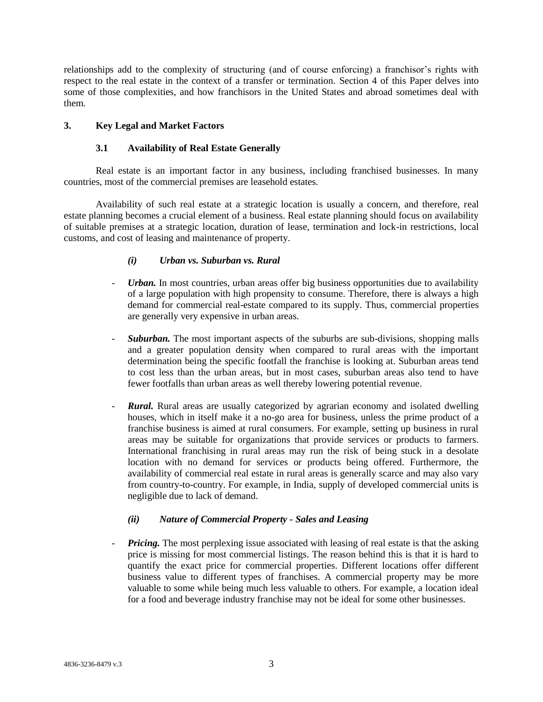relationships add to the complexity of structuring (and of course enforcing) a franchisor's rights with respect to the real estate in the context of a transfer or termination. Section 4 of this Paper delves into some of those complexities, and how franchisors in the United States and abroad sometimes deal with them.

# **3. Key Legal and Market Factors**

## **3.1 Availability of Real Estate Generally**

Real estate is an important factor in any business, including franchised businesses. In many countries, most of the commercial premises are leasehold estates.

Availability of such real estate at a strategic location is usually a concern, and therefore, real estate planning becomes a crucial element of a business. Real estate planning should focus on availability of suitable premises at a strategic location, duration of lease, termination and lock-in restrictions, local customs, and cost of leasing and maintenance of property.

# *(i) Urban vs. Suburban vs. Rural*

- *Urban.* In most countries, urban areas offer big business opportunities due to availability of a large population with high propensity to consume. Therefore, there is always a high demand for commercial real-estate compared to its supply. Thus, commercial properties are generally very expensive in urban areas.
- *Suburban.* The most important aspects of the suburbs are sub-divisions, shopping malls and a greater population density when compared to rural areas with the important determination being the specific footfall the franchise is looking at. Suburban areas tend to cost less than the urban areas, but in most cases, suburban areas also tend to have fewer footfalls than urban areas as well thereby lowering potential revenue.
- *Rural.* Rural areas are usually categorized by agrarian economy and isolated dwelling houses, which in itself make it a no-go area for business, unless the prime product of a franchise business is aimed at rural consumers. For example, setting up business in rural areas may be suitable for organizations that provide services or products to farmers. International franchising in rural areas may run the risk of being stuck in a desolate location with no demand for services or products being offered. Furthermore, the availability of commercial real estate in rural areas is generally scarce and may also vary from country-to-country. For example, in India, supply of developed commercial units is negligible due to lack of demand.

# *(ii) Nature of Commercial Property - Sales and Leasing*

- *Pricing.* The most perplexing issue associated with leasing of real estate is that the asking price is missing for most commercial listings. The reason behind this is that it is hard to quantify the exact price for commercial properties. Different locations offer different business value to different types of franchises. A commercial property may be more valuable to some while being much less valuable to others. For example, a location ideal for a food and beverage industry franchise may not be ideal for some other businesses.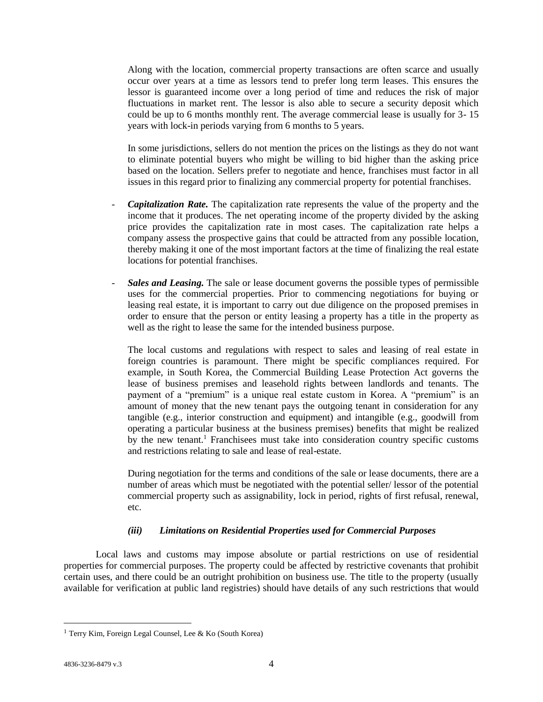Along with the location, commercial property transactions are often scarce and usually occur over years at a time as lessors tend to prefer long term leases. This ensures the lessor is guaranteed income over a long period of time and reduces the risk of major fluctuations in market rent. The lessor is also able to secure a security deposit which could be up to 6 months monthly rent. The average commercial lease is usually for 3- 15 years with lock-in periods varying from 6 months to 5 years.

In some jurisdictions, sellers do not mention the prices on the listings as they do not want to eliminate potential buyers who might be willing to bid higher than the asking price based on the location. Sellers prefer to negotiate and hence, franchises must factor in all issues in this regard prior to finalizing any commercial property for potential franchises.

- Capitalization Rate. The capitalization rate represents the value of the property and the income that it produces. The net operating income of the property divided by the asking price provides the capitalization rate in most cases. The capitalization rate helps a company assess the prospective gains that could be attracted from any possible location, thereby making it one of the most important factors at the time of finalizing the real estate locations for potential franchises.
- *Sales and Leasing.* The sale or lease document governs the possible types of permissible uses for the commercial properties. Prior to commencing negotiations for buying or leasing real estate, it is important to carry out due diligence on the proposed premises in order to ensure that the person or entity leasing a property has a title in the property as well as the right to lease the same for the intended business purpose.

The local customs and regulations with respect to sales and leasing of real estate in foreign countries is paramount. There might be specific compliances required. For example, in South Korea, the Commercial Building Lease Protection Act governs the lease of business premises and leasehold rights between landlords and tenants. The payment of a "premium" is a unique real estate custom in Korea. A "premium" is an amount of money that the new tenant pays the outgoing tenant in consideration for any tangible (e.g., interior construction and equipment) and intangible (e.g., goodwill from operating a particular business at the business premises) benefits that might be realized by the new tenant.<sup>1</sup> Franchisees must take into consideration country specific customs and restrictions relating to sale and lease of real-estate.

During negotiation for the terms and conditions of the sale or lease documents, there are a number of areas which must be negotiated with the potential seller/ lessor of the potential commercial property such as assignability, lock in period, rights of first refusal, renewal, etc.

# *(iii) Limitations on Residential Properties used for Commercial Purposes*

Local laws and customs may impose absolute or partial restrictions on use of residential properties for commercial purposes. The property could be affected by restrictive covenants that prohibit certain uses, and there could be an outright prohibition on business use. The title to the property (usually available for verification at public land registries) should have details of any such restrictions that would

<sup>1</sup> Terry Kim, Foreign Legal Counsel, Lee & Ko (South Korea)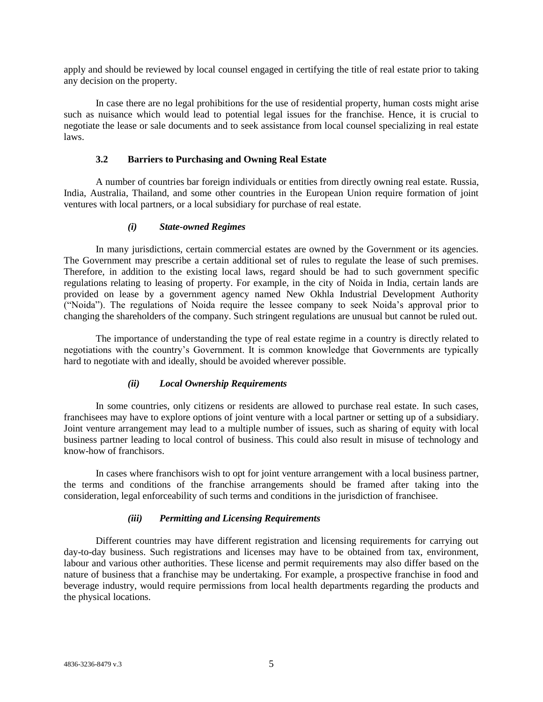apply and should be reviewed by local counsel engaged in certifying the title of real estate prior to taking any decision on the property.

In case there are no legal prohibitions for the use of residential property, human costs might arise such as nuisance which would lead to potential legal issues for the franchise. Hence, it is crucial to negotiate the lease or sale documents and to seek assistance from local counsel specializing in real estate laws.

## **3.2 Barriers to Purchasing and Owning Real Estate**

A number of countries bar foreign individuals or entities from directly owning real estate. Russia, India, Australia, Thailand, and some other countries in the European Union require formation of joint ventures with local partners, or a local subsidiary for purchase of real estate.

## *(i) State-owned Regimes*

In many jurisdictions, certain commercial estates are owned by the Government or its agencies. The Government may prescribe a certain additional set of rules to regulate the lease of such premises. Therefore, in addition to the existing local laws, regard should be had to such government specific regulations relating to leasing of property. For example, in the city of Noida in India, certain lands are provided on lease by a government agency named New Okhla Industrial Development Authority ("Noida"). The regulations of Noida require the lessee company to seek Noida's approval prior to changing the shareholders of the company. Such stringent regulations are unusual but cannot be ruled out.

The importance of understanding the type of real estate regime in a country is directly related to negotiations with the country's Government. It is common knowledge that Governments are typically hard to negotiate with and ideally, should be avoided wherever possible.

# *(ii) Local Ownership Requirements*

In some countries, only citizens or residents are allowed to purchase real estate. In such cases, franchisees may have to explore options of joint venture with a local partner or setting up of a subsidiary. Joint venture arrangement may lead to a multiple number of issues, such as sharing of equity with local business partner leading to local control of business. This could also result in misuse of technology and know-how of franchisors.

In cases where franchisors wish to opt for joint venture arrangement with a local business partner, the terms and conditions of the franchise arrangements should be framed after taking into the consideration, legal enforceability of such terms and conditions in the jurisdiction of franchisee.

# *(iii) Permitting and Licensing Requirements*

Different countries may have different registration and licensing requirements for carrying out day-to-day business. Such registrations and licenses may have to be obtained from tax, environment, labour and various other authorities. These license and permit requirements may also differ based on the nature of business that a franchise may be undertaking. For example, a prospective franchise in food and beverage industry, would require permissions from local health departments regarding the products and the physical locations.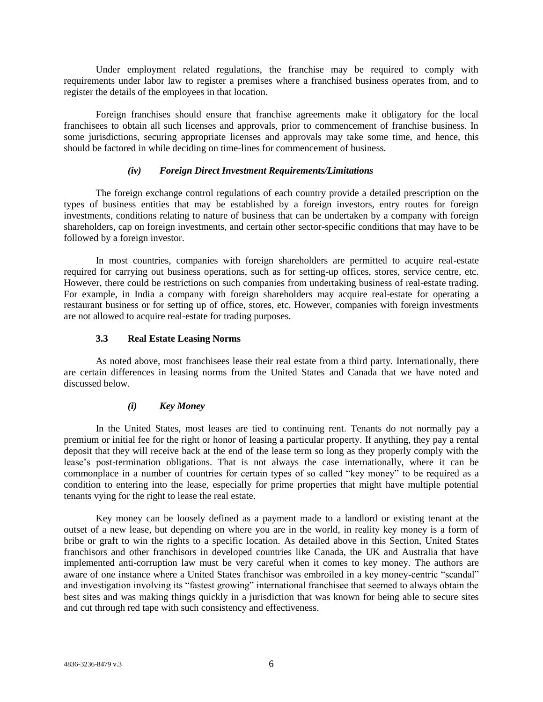Under employment related regulations, the franchise may be required to comply with requirements under labor law to register a premises where a franchised business operates from, and to register the details of the employees in that location.

Foreign franchises should ensure that franchise agreements make it obligatory for the local franchisees to obtain all such licenses and approvals, prior to commencement of franchise business. In some jurisdictions, securing appropriate licenses and approvals may take some time, and hence, this should be factored in while deciding on time-lines for commencement of business.

## *(iv) Foreign Direct Investment Requirements/Limitations*

The foreign exchange control regulations of each country provide a detailed prescription on the types of business entities that may be established by a foreign investors, entry routes for foreign investments, conditions relating to nature of business that can be undertaken by a company with foreign shareholders, cap on foreign investments, and certain other sector-specific conditions that may have to be followed by a foreign investor.

In most countries, companies with foreign shareholders are permitted to acquire real-estate required for carrying out business operations, such as for setting-up offices, stores, service centre, etc. However, there could be restrictions on such companies from undertaking business of real-estate trading. For example, in India a company with foreign shareholders may acquire real-estate for operating a restaurant business or for setting up of office, stores, etc. However, companies with foreign investments are not allowed to acquire real-estate for trading purposes.

## **3.3 Real Estate Leasing Norms**

As noted above, most franchisees lease their real estate from a third party. Internationally, there are certain differences in leasing norms from the United States and Canada that we have noted and discussed below.

# *(i) Key Money*

In the United States, most leases are tied to continuing rent. Tenants do not normally pay a premium or initial fee for the right or honor of leasing a particular property. If anything, they pay a rental deposit that they will receive back at the end of the lease term so long as they properly comply with the lease's post-termination obligations. That is not always the case internationally, where it can be commonplace in a number of countries for certain types of so called "key money" to be required as a condition to entering into the lease, especially for prime properties that might have multiple potential tenants vying for the right to lease the real estate.

Key money can be loosely defined as a payment made to a landlord or existing tenant at the outset of a new lease, but depending on where you are in the world, in reality key money is a form of bribe or graft to win the rights to a specific location. As detailed above in this Section, United States franchisors and other franchisors in developed countries like Canada, the UK and Australia that have implemented anti-corruption law must be very careful when it comes to key money. The authors are aware of one instance where a United States franchisor was embroiled in a key money-centric "scandal" and investigation involving its "fastest growing" international franchisee that seemed to always obtain the best sites and was making things quickly in a jurisdiction that was known for being able to secure sites and cut through red tape with such consistency and effectiveness.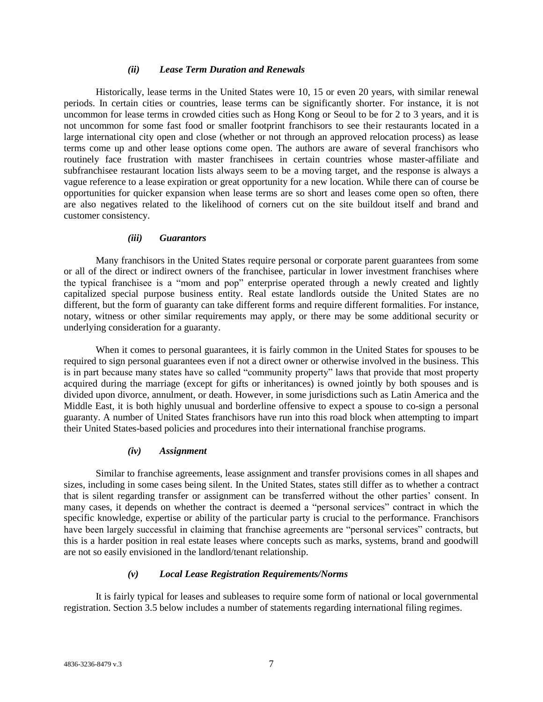#### *(ii) Lease Term Duration and Renewals*

Historically, lease terms in the United States were 10, 15 or even 20 years, with similar renewal periods. In certain cities or countries, lease terms can be significantly shorter. For instance, it is not uncommon for lease terms in crowded cities such as Hong Kong or Seoul to be for 2 to 3 years, and it is not uncommon for some fast food or smaller footprint franchisors to see their restaurants located in a large international city open and close (whether or not through an approved relocation process) as lease terms come up and other lease options come open. The authors are aware of several franchisors who routinely face frustration with master franchisees in certain countries whose master-affiliate and subfranchisee restaurant location lists always seem to be a moving target, and the response is always a vague reference to a lease expiration or great opportunity for a new location. While there can of course be opportunities for quicker expansion when lease terms are so short and leases come open so often, there are also negatives related to the likelihood of corners cut on the site buildout itself and brand and customer consistency.

### *(iii) Guarantors*

Many franchisors in the United States require personal or corporate parent guarantees from some or all of the direct or indirect owners of the franchisee, particular in lower investment franchises where the typical franchisee is a "mom and pop" enterprise operated through a newly created and lightly capitalized special purpose business entity. Real estate landlords outside the United States are no different, but the form of guaranty can take different forms and require different formalities. For instance, notary, witness or other similar requirements may apply, or there may be some additional security or underlying consideration for a guaranty.

When it comes to personal guarantees, it is fairly common in the United States for spouses to be required to sign personal guarantees even if not a direct owner or otherwise involved in the business. This is in part because many states have so called "community property" laws that provide that most property acquired during the marriage (except for gifts or inheritances) is owned jointly by both spouses and is divided upon divorce, annulment, or death. However, in some jurisdictions such as Latin America and the Middle East, it is both highly unusual and borderline offensive to expect a spouse to co-sign a personal guaranty. A number of United States franchisors have run into this road block when attempting to impart their United States-based policies and procedures into their international franchise programs.

### *(iv) Assignment*

Similar to franchise agreements, lease assignment and transfer provisions comes in all shapes and sizes, including in some cases being silent. In the United States, states still differ as to whether a contract that is silent regarding transfer or assignment can be transferred without the other parties' consent. In many cases, it depends on whether the contract is deemed a "personal services" contract in which the specific knowledge, expertise or ability of the particular party is crucial to the performance. Franchisors have been largely successful in claiming that franchise agreements are "personal services" contracts, but this is a harder position in real estate leases where concepts such as marks, systems, brand and goodwill are not so easily envisioned in the landlord/tenant relationship.

### *(v) Local Lease Registration Requirements/Norms*

It is fairly typical for leases and subleases to require some form of national or local governmental registration. Section 3.5 below includes a number of statements regarding international filing regimes.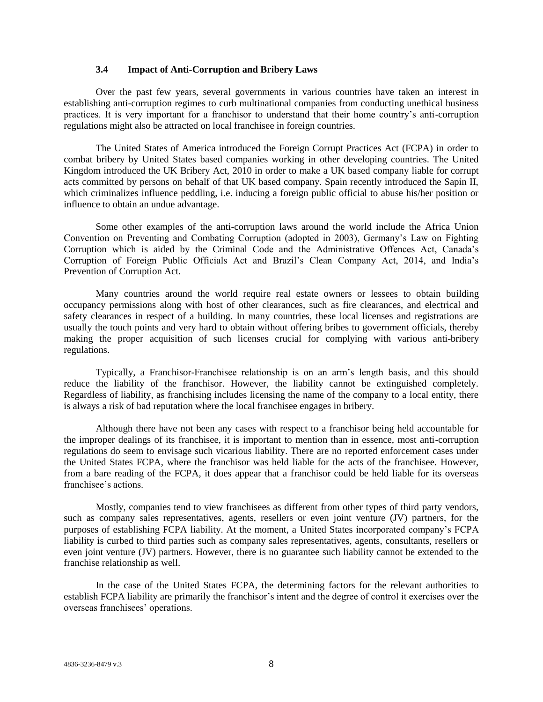### **3.4 Impact of Anti-Corruption and Bribery Laws**

Over the past few years, several governments in various countries have taken an interest in establishing anti-corruption regimes to curb multinational companies from conducting unethical business practices. It is very important for a franchisor to understand that their home country's anti-corruption regulations might also be attracted on local franchisee in foreign countries.

The United States of America introduced the Foreign Corrupt Practices Act (FCPA) in order to combat bribery by United States based companies working in other developing countries. The United Kingdom introduced the UK Bribery Act, 2010 in order to make a UK based company liable for corrupt acts committed by persons on behalf of that UK based company. Spain recently introduced the Sapin II, which criminalizes influence peddling, i.e. inducing a foreign public official to abuse his/her position or influence to obtain an undue advantage.

Some other examples of the anti-corruption laws around the world include the Africa Union Convention on Preventing and Combating Corruption (adopted in 2003), Germany's Law on Fighting Corruption which is aided by the Criminal Code and the Administrative Offences Act, Canada's Corruption of Foreign Public Officials Act and Brazil's Clean Company Act, 2014, and India's Prevention of Corruption Act.

Many countries around the world require real estate owners or lessees to obtain building occupancy permissions along with host of other clearances, such as fire clearances, and electrical and safety clearances in respect of a building. In many countries, these local licenses and registrations are usually the touch points and very hard to obtain without offering bribes to government officials, thereby making the proper acquisition of such licenses crucial for complying with various anti-bribery regulations.

Typically, a Franchisor-Franchisee relationship is on an arm's length basis, and this should reduce the liability of the franchisor. However, the liability cannot be extinguished completely. Regardless of liability, as franchising includes licensing the name of the company to a local entity, there is always a risk of bad reputation where the local franchisee engages in bribery.

Although there have not been any cases with respect to a franchisor being held accountable for the improper dealings of its franchisee, it is important to mention than in essence, most anti-corruption regulations do seem to envisage such vicarious liability. There are no reported enforcement cases under the United States FCPA, where the franchisor was held liable for the acts of the franchisee. However, from a bare reading of the FCPA, it does appear that a franchisor could be held liable for its overseas franchisee's actions.

Mostly, companies tend to view franchisees as different from other types of third party vendors, such as company sales representatives, agents, resellers or even joint venture (JV) partners, for the purposes of establishing FCPA liability. At the moment, a United States incorporated company's FCPA liability is curbed to third parties such as company sales representatives, agents, consultants, resellers or even joint venture (JV) partners. However, there is no guarantee such liability cannot be extended to the franchise relationship as well.

In the case of the United States FCPA, the determining factors for the relevant authorities to establish FCPA liability are primarily the franchisor's intent and the degree of control it exercises over the overseas franchisees' operations.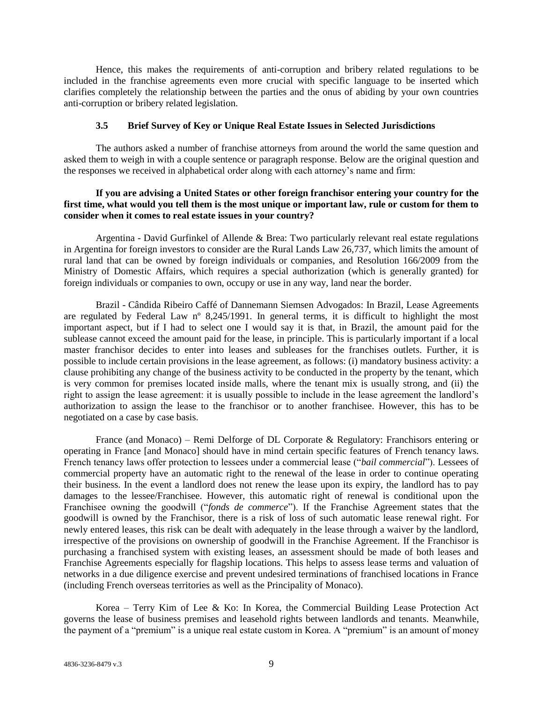Hence, this makes the requirements of anti-corruption and bribery related regulations to be included in the franchise agreements even more crucial with specific language to be inserted which clarifies completely the relationship between the parties and the onus of abiding by your own countries anti-corruption or bribery related legislation.

#### **3.5 Brief Survey of Key or Unique Real Estate Issues in Selected Jurisdictions**

The authors asked a number of franchise attorneys from around the world the same question and asked them to weigh in with a couple sentence or paragraph response. Below are the original question and the responses we received in alphabetical order along with each attorney's name and firm:

# **If you are advising a United States or other foreign franchisor entering your country for the first time, what would you tell them is the most unique or important law, rule or custom for them to consider when it comes to real estate issues in your country?**

Argentina - David Gurfinkel of Allende & Brea: Two particularly relevant real estate regulations in Argentina for foreign investors to consider are the Rural Lands Law 26,737, which limits the amount of rural land that can be owned by foreign individuals or companies, and Resolution 166/2009 from the Ministry of Domestic Affairs, which requires a special authorization (which is generally granted) for foreign individuals or companies to own, occupy or use in any way, land near the border.

Brazil - Cândida Ribeiro Caffé of Dannemann Siemsen Advogados: In Brazil, Lease Agreements are regulated by Federal Law nº 8,245/1991. In general terms, it is difficult to highlight the most important aspect, but if I had to select one I would say it is that, in Brazil, the amount paid for the sublease cannot exceed the amount paid for the lease, in principle. This is particularly important if a local master franchisor decides to enter into leases and subleases for the franchises outlets. Further, it is possible to include certain provisions in the lease agreement, as follows: (i) mandatory business activity: a clause prohibiting any change of the business activity to be conducted in the property by the tenant, which is very common for premises located inside malls, where the tenant mix is usually strong, and (ii) the right to assign the lease agreement: it is usually possible to include in the lease agreement the landlord's authorization to assign the lease to the franchisor or to another franchisee. However, this has to be negotiated on a case by case basis.

France (and Monaco) – Remi Delforge of DL Corporate & Regulatory: Franchisors entering or operating in France [and Monaco] should have in mind certain specific features of French tenancy laws. French tenancy laws offer protection to lessees under a commercial lease ("*bail commercial*"). Lessees of commercial property have an automatic right to the renewal of the lease in order to continue operating their business. In the event a landlord does not renew the lease upon its expiry, the landlord has to pay damages to the lessee/Franchisee. However, this automatic right of renewal is conditional upon the Franchisee owning the goodwill ("*fonds de commerce*"). If the Franchise Agreement states that the goodwill is owned by the Franchisor, there is a risk of loss of such automatic lease renewal right. For newly entered leases, this risk can be dealt with adequately in the lease through a waiver by the landlord, irrespective of the provisions on ownership of goodwill in the Franchise Agreement. If the Franchisor is purchasing a franchised system with existing leases, an assessment should be made of both leases and Franchise Agreements especially for flagship locations. This helps to assess lease terms and valuation of networks in a due diligence exercise and prevent undesired terminations of franchised locations in France (including French overseas territories as well as the Principality of Monaco).

Korea – Terry Kim of Lee & Ko: In Korea, the Commercial Building Lease Protection Act governs the lease of business premises and leasehold rights between landlords and tenants. Meanwhile, the payment of a "premium" is a unique real estate custom in Korea. A "premium" is an amount of money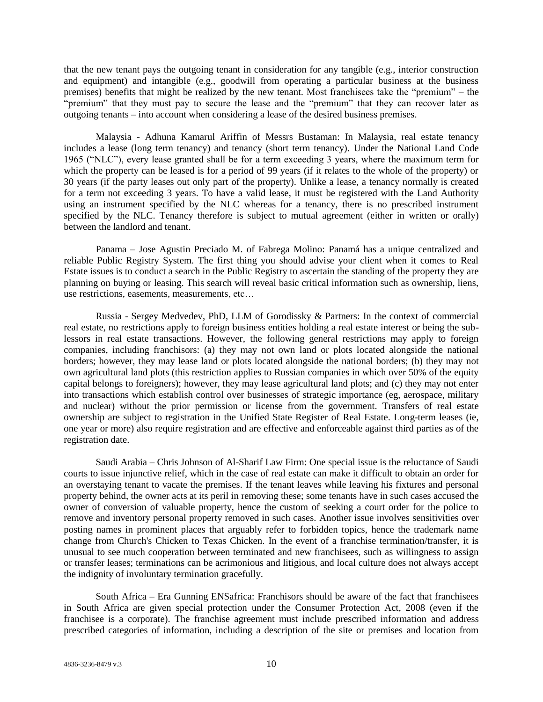that the new tenant pays the outgoing tenant in consideration for any tangible (e.g., interior construction and equipment) and intangible (e.g., goodwill from operating a particular business at the business premises) benefits that might be realized by the new tenant. Most franchisees take the "premium" – the "premium" that they must pay to secure the lease and the "premium" that they can recover later as outgoing tenants – into account when considering a lease of the desired business premises.

Malaysia - Adhuna Kamarul Ariffin of Messrs Bustaman: In Malaysia, real estate tenancy includes a lease (long term tenancy) and tenancy (short term tenancy). Under the National Land Code 1965 ("NLC"), every lease granted shall be for a term exceeding 3 years, where the maximum term for which the property can be leased is for a period of 99 years (if it relates to the whole of the property) or 30 years (if the party leases out only part of the property). Unlike a lease, a tenancy normally is created for a term not exceeding 3 years. To have a valid lease, it must be registered with the Land Authority using an instrument specified by the NLC whereas for a tenancy, there is no prescribed instrument specified by the NLC. Tenancy therefore is subject to mutual agreement (either in written or orally) between the landlord and tenant.

Panama – Jose Agustin Preciado M. of Fabrega Molino: Panamá has a unique centralized and reliable Public Registry System. The first thing you should advise your client when it comes to Real Estate issues is to conduct a search in the Public Registry to ascertain the standing of the property they are planning on buying or leasing. This search will reveal basic critical information such as ownership, liens, use restrictions, easements, measurements, etc…

Russia - Sergey Medvedev, PhD, LLM of Gorodissky & Partners: In the context of commercial real estate, no restrictions apply to foreign business entities holding a real estate interest or being the sublessors in real estate transactions. However, the following general restrictions may apply to foreign companies, including franchisors: (a) they may not own land or plots located alongside the national borders; however, they may lease land or plots located alongside the national borders; (b) they may not own agricultural land plots (this restriction applies to Russian companies in which over 50% of the equity capital belongs to foreigners); however, they may lease agricultural land plots; and (c) they may not enter into transactions which establish control over businesses of strategic importance (eg, aerospace, military and nuclear) without the prior permission or license from the government. Transfers of real estate ownership are subject to registration in the Unified State Register of Real Estate. Long-term leases (ie, one year or more) also require registration and are effective and enforceable against third parties as of the registration date.

Saudi Arabia – Chris Johnson of Al-Sharif Law Firm: One special issue is the reluctance of Saudi courts to issue injunctive relief, which in the case of real estate can make it difficult to obtain an order for an overstaying tenant to vacate the premises. If the tenant leaves while leaving his fixtures and personal property behind, the owner acts at its peril in removing these; some tenants have in such cases accused the owner of conversion of valuable property, hence the custom of seeking a court order for the police to remove and inventory personal property removed in such cases. Another issue involves sensitivities over posting names in prominent places that arguably refer to forbidden topics, hence the trademark name change from Church's Chicken to Texas Chicken. In the event of a franchise termination/transfer, it is unusual to see much cooperation between terminated and new franchisees, such as willingness to assign or transfer leases; terminations can be acrimonious and litigious, and local culture does not always accept the indignity of involuntary termination gracefully.

South Africa – Era Gunning ENSafrica: Franchisors should be aware of the fact that franchisees in South Africa are given special protection under the Consumer Protection Act, 2008 (even if the franchisee is a corporate). The franchise agreement must include prescribed information and address prescribed categories of information, including a description of the site or premises and location from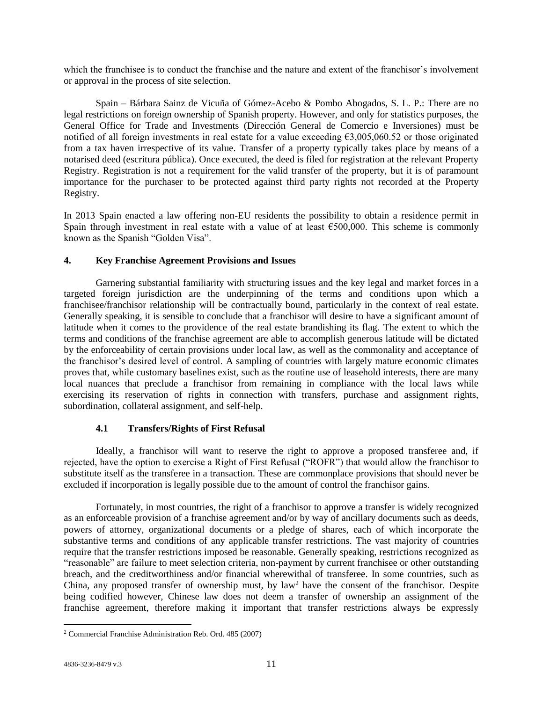which the franchisee is to conduct the franchise and the nature and extent of the franchisor's involvement or approval in the process of site selection.

Spain – Bárbara Sainz de Vicuña of Gómez-Acebo & Pombo Abogados, S. L. P.: There are no legal restrictions on foreign ownership of Spanish property. However, and only for statistics purposes, the General Office for Trade and Investments (Dirección General de Comercio e Inversiones) must be notified of all foreign investments in real estate for a value exceeding  $\epsilon$ 3,005,060.52 or those originated from a tax haven irrespective of its value. Transfer of a property typically takes place by means of a notarised deed (escritura pública). Once executed, the deed is filed for registration at the relevant Property Registry. Registration is not a requirement for the valid transfer of the property, but it is of paramount importance for the purchaser to be protected against third party rights not recorded at the Property Registry.

In 2013 Spain enacted a law offering non-EU residents the possibility to obtain a residence permit in Spain through investment in real estate with a value of at least  $\epsilon$ 500,000. This scheme is commonly known as the Spanish "Golden Visa".

# **4. Key Franchise Agreement Provisions and Issues**

Garnering substantial familiarity with structuring issues and the key legal and market forces in a targeted foreign jurisdiction are the underpinning of the terms and conditions upon which a franchisee/franchisor relationship will be contractually bound, particularly in the context of real estate. Generally speaking, it is sensible to conclude that a franchisor will desire to have a significant amount of latitude when it comes to the providence of the real estate brandishing its flag. The extent to which the terms and conditions of the franchise agreement are able to accomplish generous latitude will be dictated by the enforceability of certain provisions under local law, as well as the commonality and acceptance of the franchisor's desired level of control. A sampling of countries with largely mature economic climates proves that, while customary baselines exist, such as the routine use of leasehold interests, there are many local nuances that preclude a franchisor from remaining in compliance with the local laws while exercising its reservation of rights in connection with transfers, purchase and assignment rights, subordination, collateral assignment, and self-help.

# **4.1 Transfers/Rights of First Refusal**

Ideally, a franchisor will want to reserve the right to approve a proposed transferee and, if rejected, have the option to exercise a Right of First Refusal ("ROFR") that would allow the franchisor to substitute itself as the transferee in a transaction. These are commonplace provisions that should never be excluded if incorporation is legally possible due to the amount of control the franchisor gains.

Fortunately, in most countries, the right of a franchisor to approve a transfer is widely recognized as an enforceable provision of a franchise agreement and/or by way of ancillary documents such as deeds, powers of attorney, organizational documents or a pledge of shares, each of which incorporate the substantive terms and conditions of any applicable transfer restrictions. The vast majority of countries require that the transfer restrictions imposed be reasonable. Generally speaking, restrictions recognized as "reasonable" are failure to meet selection criteria, non-payment by current franchisee or other outstanding breach, and the creditworthiness and/or financial wherewithal of transferee. In some countries, such as China, any proposed transfer of ownership must, by law<sup>2</sup> have the consent of the franchisor. Despite being codified however, Chinese law does not deem a transfer of ownership an assignment of the franchise agreement, therefore making it important that transfer restrictions always be expressly

<sup>2</sup> Commercial Franchise Administration Reb. Ord. 485 (2007)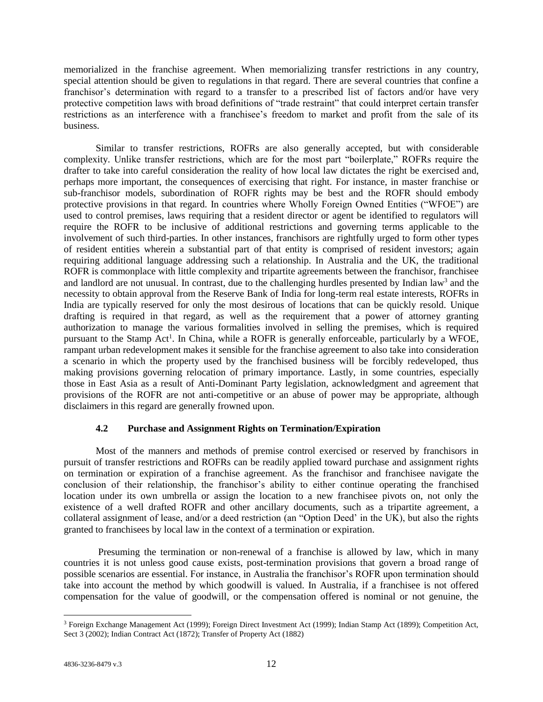memorialized in the franchise agreement. When memorializing transfer restrictions in any country, special attention should be given to regulations in that regard. There are several countries that confine a franchisor's determination with regard to a transfer to a prescribed list of factors and/or have very protective competition laws with broad definitions of "trade restraint" that could interpret certain transfer restrictions as an interference with a franchisee's freedom to market and profit from the sale of its business.

Similar to transfer restrictions, ROFRs are also generally accepted, but with considerable complexity. Unlike transfer restrictions, which are for the most part "boilerplate," ROFRs require the drafter to take into careful consideration the reality of how local law dictates the right be exercised and, perhaps more important, the consequences of exercising that right. For instance, in master franchise or sub-franchisor models, subordination of ROFR rights may be best and the ROFR should embody protective provisions in that regard. In countries where Wholly Foreign Owned Entities ("WFOE") are used to control premises, laws requiring that a resident director or agent be identified to regulators will require the ROFR to be inclusive of additional restrictions and governing terms applicable to the involvement of such third-parties. In other instances, franchisors are rightfully urged to form other types of resident entities wherein a substantial part of that entity is comprised of resident investors; again requiring additional language addressing such a relationship. In Australia and the UK, the traditional ROFR is commonplace with little complexity and tripartite agreements between the franchisor, franchisee and landlord are not unusual. In contrast, due to the challenging hurdles presented by Indian law<sup>3</sup> and the necessity to obtain approval from the Reserve Bank of India for long-term real estate interests, ROFRs in India are typically reserved for only the most desirous of locations that can be quickly resold. Unique drafting is required in that regard, as well as the requirement that a power of attorney granting authorization to manage the various formalities involved in selling the premises, which is required pursuant to the Stamp Act<sup>1</sup>. In China, while a ROFR is generally enforceable, particularly by a WFOE, rampant urban redevelopment makes it sensible for the franchise agreement to also take into consideration a scenario in which the property used by the franchised business will be forcibly redeveloped, thus making provisions governing relocation of primary importance. Lastly, in some countries, especially those in East Asia as a result of Anti-Dominant Party legislation, acknowledgment and agreement that provisions of the ROFR are not anti-competitive or an abuse of power may be appropriate, although disclaimers in this regard are generally frowned upon.

# **4.2 Purchase and Assignment Rights on Termination/Expiration**

Most of the manners and methods of premise control exercised or reserved by franchisors in pursuit of transfer restrictions and ROFRs can be readily applied toward purchase and assignment rights on termination or expiration of a franchise agreement. As the franchisor and franchisee navigate the conclusion of their relationship, the franchisor's ability to either continue operating the franchised location under its own umbrella or assign the location to a new franchisee pivots on, not only the existence of a well drafted ROFR and other ancillary documents, such as a tripartite agreement, a collateral assignment of lease, and/or a deed restriction (an "Option Deed' in the UK), but also the rights granted to franchisees by local law in the context of a termination or expiration.

Presuming the termination or non-renewal of a franchise is allowed by law, which in many countries it is not unless good cause exists, post-termination provisions that govern a broad range of possible scenarios are essential. For instance, in Australia the franchisor's ROFR upon termination should take into account the method by which goodwill is valued. In Australia, if a franchisee is not offered compensation for the value of goodwill, or the compensation offered is nominal or not genuine, the

<sup>3</sup> Foreign Exchange Management Act (1999); Foreign Direct Investment Act (1999); Indian Stamp Act (1899); Competition Act, Sect 3 (2002); Indian Contract Act (1872); Transfer of Property Act (1882)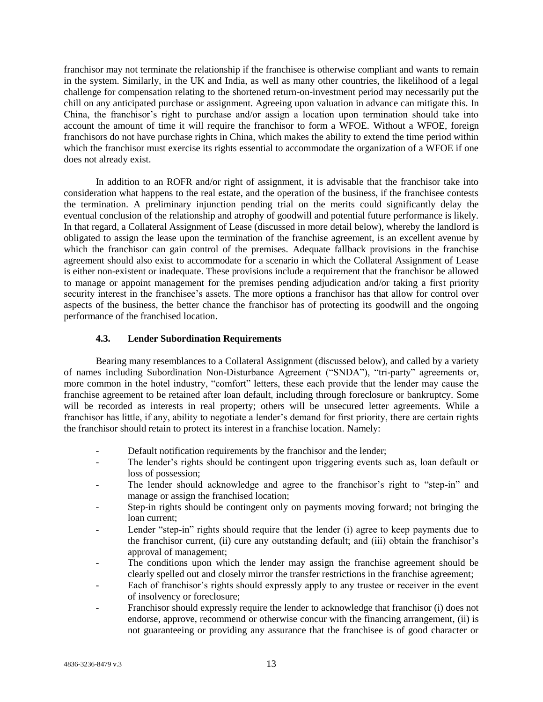franchisor may not terminate the relationship if the franchisee is otherwise compliant and wants to remain in the system. Similarly, in the UK and India, as well as many other countries, the likelihood of a legal challenge for compensation relating to the shortened return-on-investment period may necessarily put the chill on any anticipated purchase or assignment. Agreeing upon valuation in advance can mitigate this. In China, the franchisor's right to purchase and/or assign a location upon termination should take into account the amount of time it will require the franchisor to form a WFOE. Without a WFOE, foreign franchisors do not have purchase rights in China, which makes the ability to extend the time period within which the franchisor must exercise its rights essential to accommodate the organization of a WFOE if one does not already exist.

In addition to an ROFR and/or right of assignment, it is advisable that the franchisor take into consideration what happens to the real estate, and the operation of the business, if the franchisee contests the termination. A preliminary injunction pending trial on the merits could significantly delay the eventual conclusion of the relationship and atrophy of goodwill and potential future performance is likely. In that regard, a Collateral Assignment of Lease (discussed in more detail below), whereby the landlord is obligated to assign the lease upon the termination of the franchise agreement, is an excellent avenue by which the franchisor can gain control of the premises. Adequate fallback provisions in the franchise agreement should also exist to accommodate for a scenario in which the Collateral Assignment of Lease is either non-existent or inadequate. These provisions include a requirement that the franchisor be allowed to manage or appoint management for the premises pending adjudication and/or taking a first priority security interest in the franchisee's assets. The more options a franchisor has that allow for control over aspects of the business, the better chance the franchisor has of protecting its goodwill and the ongoing performance of the franchised location.

# **4.3. Lender Subordination Requirements**

Bearing many resemblances to a Collateral Assignment (discussed below), and called by a variety of names including Subordination Non-Disturbance Agreement ("SNDA"), "tri-party" agreements or, more common in the hotel industry, "comfort" letters, these each provide that the lender may cause the franchise agreement to be retained after loan default, including through foreclosure or bankruptcy. Some will be recorded as interests in real property; others will be unsecured letter agreements. While a franchisor has little, if any, ability to negotiate a lender's demand for first priority, there are certain rights the franchisor should retain to protect its interest in a franchise location. Namely:

- Default notification requirements by the franchisor and the lender;
- The lender's rights should be contingent upon triggering events such as, loan default or loss of possession;
- The lender should acknowledge and agree to the franchisor's right to "step-in" and manage or assign the franchised location;
- Step-in rights should be contingent only on payments moving forward; not bringing the loan current;
- Lender "step-in" rights should require that the lender (i) agree to keep payments due to the franchisor current, (ii) cure any outstanding default; and (iii) obtain the franchisor's approval of management;
- The conditions upon which the lender may assign the franchise agreement should be clearly spelled out and closely mirror the transfer restrictions in the franchise agreement;
- Each of franchisor's rights should expressly apply to any trustee or receiver in the event of insolvency or foreclosure;
- Franchisor should expressly require the lender to acknowledge that franchisor (i) does not endorse, approve, recommend or otherwise concur with the financing arrangement, (ii) is not guaranteeing or providing any assurance that the franchisee is of good character or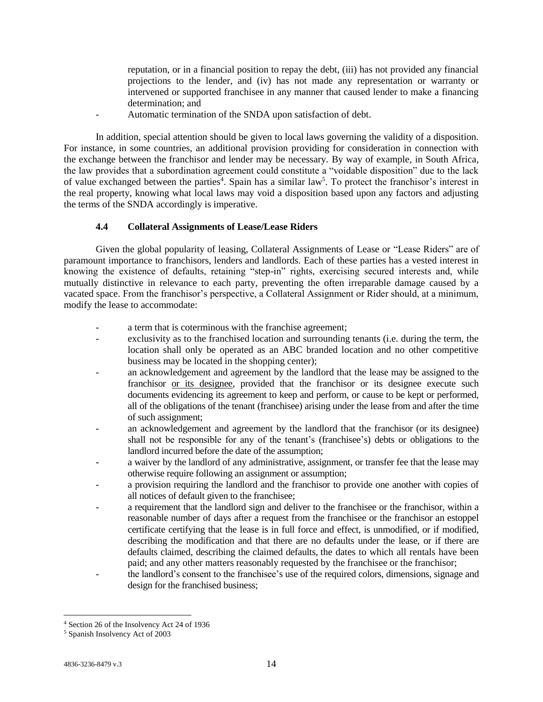reputation, or in a financial position to repay the debt, (iii) has not provided any financial projections to the lender, and (iv) has not made any representation or warranty or intervened or supported franchisee in any manner that caused lender to make a financing determination; and

- Automatic termination of the SNDA upon satisfaction of debt.

In addition, special attention should be given to local laws governing the validity of a disposition. For instance, in some countries, an additional provision providing for consideration in connection with the exchange between the franchisor and lender may be necessary. By way of example, in South Africa, the law provides that a subordination agreement could constitute a "voidable disposition" due to the lack of value exchanged between the parties<sup>4</sup>. Spain has a similar law<sup>5</sup>. To protect the franchisor's interest in the real property, knowing what local laws may void a disposition based upon any factors and adjusting the terms of the SNDA accordingly is imperative.

# **4.4 Collateral Assignments of Lease/Lease Riders**

Given the global popularity of leasing, Collateral Assignments of Lease or "Lease Riders" are of paramount importance to franchisors, lenders and landlords. Each of these parties has a vested interest in knowing the existence of defaults, retaining "step-in" rights, exercising secured interests and, while mutually distinctive in relevance to each party, preventing the often irreparable damage caused by a vacated space. From the franchisor's perspective, a Collateral Assignment or Rider should, at a minimum, modify the lease to accommodate:

- a term that is coterminous with the franchise agreement;
- exclusivity as to the franchised location and surrounding tenants (i.e. during the term, the location shall only be operated as an ABC branded location and no other competitive business may be located in the shopping center);
- an acknowledgement and agreement by the landlord that the lease may be assigned to the franchisor or its designee, provided that the franchisor or its designee execute such documents evidencing its agreement to keep and perform, or cause to be kept or performed, all of the obligations of the tenant (franchisee) arising under the lease from and after the time of such assignment;
- an acknowledgement and agreement by the landlord that the franchisor (or its designee) shall not be responsible for any of the tenant's (franchisee's) debts or obligations to the landlord incurred before the date of the assumption;
- a waiver by the landlord of any administrative, assignment, or transfer fee that the lease may otherwise require following an assignment or assumption;
- a provision requiring the landlord and the franchisor to provide one another with copies of all notices of default given to the franchisee;
- a requirement that the landlord sign and deliver to the franchisee or the franchisor, within a reasonable number of days after a request from the franchisee or the franchisor an estoppel certificate certifying that the lease is in full force and effect, is unmodified, or if modified, describing the modification and that there are no defaults under the lease, or if there are defaults claimed, describing the claimed defaults, the dates to which all rentals have been paid; and any other matters reasonably requested by the franchisee or the franchisor;
- the landlord's consent to the franchisee's use of the required colors, dimensions, signage and design for the franchised business;

<sup>4</sup> Section 26 of the Insolvency Act 24 of 1936

<sup>5</sup> Spanish Insolvency Act of 2003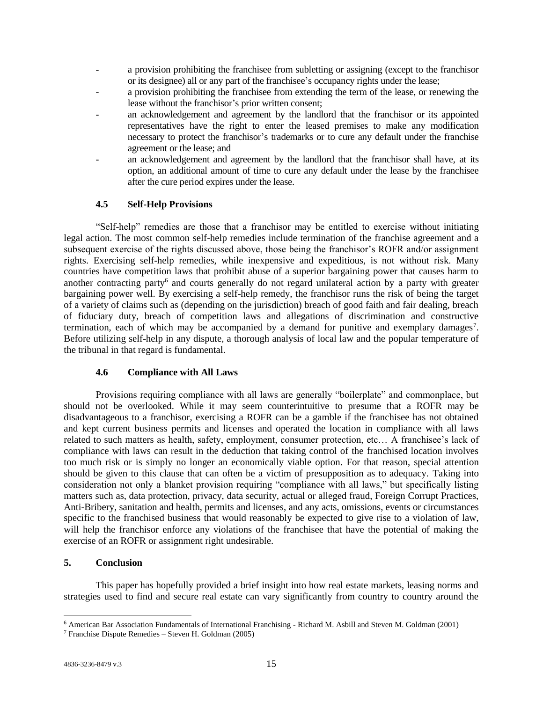- a provision prohibiting the franchisee from subletting or assigning (except to the franchisor or its designee) all or any part of the franchisee's occupancy rights under the lease;
- a provision prohibiting the franchisee from extending the term of the lease, or renewing the lease without the franchisor's prior written consent;
- an acknowledgement and agreement by the landlord that the franchisor or its appointed representatives have the right to enter the leased premises to make any modification necessary to protect the franchisor's trademarks or to cure any default under the franchise agreement or the lease; and
- an acknowledgement and agreement by the landlord that the franchisor shall have, at its option, an additional amount of time to cure any default under the lease by the franchisee after the cure period expires under the lease.

## **4.5 Self-Help Provisions**

"Self-help" remedies are those that a franchisor may be entitled to exercise without initiating legal action. The most common self-help remedies include termination of the franchise agreement and a subsequent exercise of the rights discussed above, those being the franchisor's ROFR and/or assignment rights. Exercising self-help remedies, while inexpensive and expeditious, is not without risk. Many countries have competition laws that prohibit abuse of a superior bargaining power that causes harm to another contracting party<sup>6</sup> and courts generally do not regard unilateral action by a party with greater bargaining power well. By exercising a self-help remedy, the franchisor runs the risk of being the target of a variety of claims such as (depending on the jurisdiction) breach of good faith and fair dealing, breach of fiduciary duty, breach of competition laws and allegations of discrimination and constructive termination, each of which may be accompanied by a demand for punitive and exemplary damages<sup>7</sup>. Before utilizing self-help in any dispute, a thorough analysis of local law and the popular temperature of the tribunal in that regard is fundamental.

### **4.6 Compliance with All Laws**

Provisions requiring compliance with all laws are generally "boilerplate" and commonplace, but should not be overlooked. While it may seem counterintuitive to presume that a ROFR may be disadvantageous to a franchisor, exercising a ROFR can be a gamble if the franchisee has not obtained and kept current business permits and licenses and operated the location in compliance with all laws related to such matters as health, safety, employment, consumer protection, etc… A franchisee's lack of compliance with laws can result in the deduction that taking control of the franchised location involves too much risk or is simply no longer an economically viable option. For that reason, special attention should be given to this clause that can often be a victim of presupposition as to adequacy. Taking into consideration not only a blanket provision requiring "compliance with all laws," but specifically listing matters such as, data protection, privacy, data security, actual or alleged fraud, Foreign Corrupt Practices, Anti-Bribery, sanitation and health, permits and licenses, and any acts, omissions, events or circumstances specific to the franchised business that would reasonably be expected to give rise to a violation of law, will help the franchisor enforce any violations of the franchisee that have the potential of making the exercise of an ROFR or assignment right undesirable.

## **5. Conclusion**

This paper has hopefully provided a brief insight into how real estate markets, leasing norms and strategies used to find and secure real estate can vary significantly from country to country around the

<sup>6</sup> American Bar Association Fundamentals of International Franchising - Richard M. Asbill and Steven M. Goldman (2001)

<sup>7</sup> Franchise Dispute Remedies – Steven H. Goldman (2005)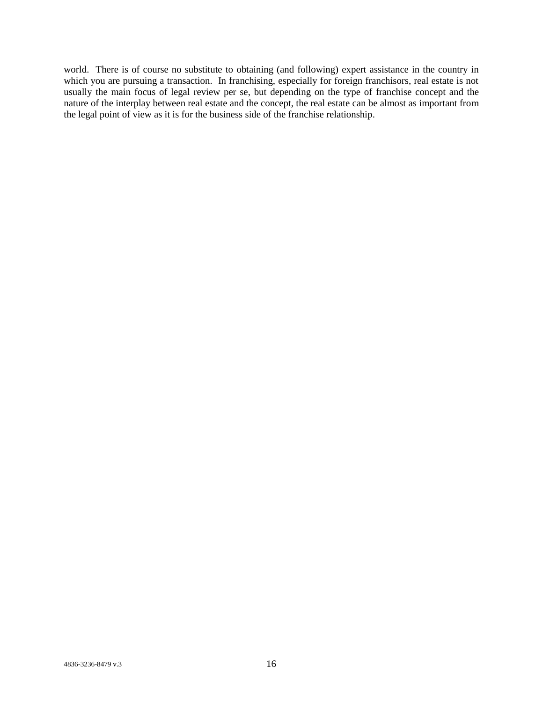world. There is of course no substitute to obtaining (and following) expert assistance in the country in which you are pursuing a transaction. In franchising, especially for foreign franchisors, real estate is not usually the main focus of legal review per se, but depending on the type of franchise concept and the nature of the interplay between real estate and the concept, the real estate can be almost as important from the legal point of view as it is for the business side of the franchise relationship.